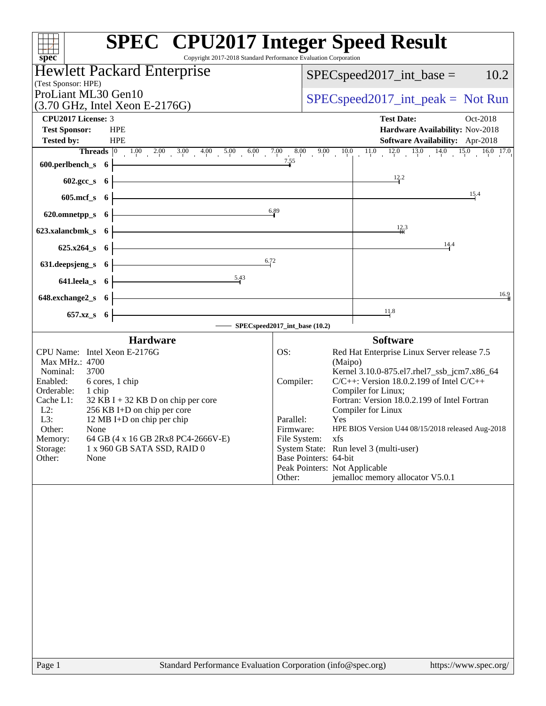| <b>Hewlett Packard Enterprise</b>                                                                                                                                                                                                                                                                                                                                                            | 10.2<br>$SPEC speed2017\_int\_base =$                                                                                                                                                                                                                                                                                                                                                                                                                                                                                                  |
|----------------------------------------------------------------------------------------------------------------------------------------------------------------------------------------------------------------------------------------------------------------------------------------------------------------------------------------------------------------------------------------------|----------------------------------------------------------------------------------------------------------------------------------------------------------------------------------------------------------------------------------------------------------------------------------------------------------------------------------------------------------------------------------------------------------------------------------------------------------------------------------------------------------------------------------------|
| (Test Sponsor: HPE)<br>ProLiant ML30 Gen10                                                                                                                                                                                                                                                                                                                                                   |                                                                                                                                                                                                                                                                                                                                                                                                                                                                                                                                        |
| $(3.70 \text{ GHz}, \text{Intel Xeon E-2176G})$                                                                                                                                                                                                                                                                                                                                              | $SPEC speed2017\_int\_peak = Not Run$                                                                                                                                                                                                                                                                                                                                                                                                                                                                                                  |
| CPU2017 License: 3<br><b>Test Sponsor:</b><br><b>HPE</b><br><b>Tested by:</b><br><b>HPE</b>                                                                                                                                                                                                                                                                                                  | <b>Test Date:</b><br>Oct-2018<br>Hardware Availability: Nov-2018<br><b>Software Availability:</b> Apr-2018                                                                                                                                                                                                                                                                                                                                                                                                                             |
| <b>Threads</b> $\begin{bmatrix} 0 & 1.00 & 2.00 & 3.00 & 4.00 & 5.00 & 6.00 & 7.00 & 8.00 \end{bmatrix}$<br>600.perlbench_s 6                                                                                                                                                                                                                                                                | 9.00 10.0 11.0 12.0 13.0 14.0 15.0 16.0 17.0                                                                                                                                                                                                                                                                                                                                                                                                                                                                                           |
| $602 \text{.} \text{gcc}\text{.} \text{s}$ 6                                                                                                                                                                                                                                                                                                                                                 | 12.2                                                                                                                                                                                                                                                                                                                                                                                                                                                                                                                                   |
| $605$ .mcf_s $6$                                                                                                                                                                                                                                                                                                                                                                             | 15.4                                                                                                                                                                                                                                                                                                                                                                                                                                                                                                                                   |
| 620.omnetpp_s 6                                                                                                                                                                                                                                                                                                                                                                              | 6.89                                                                                                                                                                                                                                                                                                                                                                                                                                                                                                                                   |
| 623.xalancbmk s 6                                                                                                                                                                                                                                                                                                                                                                            | $\frac{12}{4}$ <sup>3</sup>                                                                                                                                                                                                                                                                                                                                                                                                                                                                                                            |
| $625.x264_s$ 6                                                                                                                                                                                                                                                                                                                                                                               | 14.4                                                                                                                                                                                                                                                                                                                                                                                                                                                                                                                                   |
| 631.deepsjeng_s<br>$\overline{\mathbf{6}}$                                                                                                                                                                                                                                                                                                                                                   | 6.72                                                                                                                                                                                                                                                                                                                                                                                                                                                                                                                                   |
| 5.43<br>$641.$ leela_s $6$                                                                                                                                                                                                                                                                                                                                                                   |                                                                                                                                                                                                                                                                                                                                                                                                                                                                                                                                        |
| 648.exchange2_s 6                                                                                                                                                                                                                                                                                                                                                                            | 16.9                                                                                                                                                                                                                                                                                                                                                                                                                                                                                                                                   |
| 657.xz_s 6                                                                                                                                                                                                                                                                                                                                                                                   | 11.8                                                                                                                                                                                                                                                                                                                                                                                                                                                                                                                                   |
| <b>Hardware</b>                                                                                                                                                                                                                                                                                                                                                                              | - SPECspeed2017_int_base (10.2)<br><b>Software</b>                                                                                                                                                                                                                                                                                                                                                                                                                                                                                     |
| CPU Name: Intel Xeon E-2176G<br>Max MHz.: 4700<br>3700<br>Nominal:<br>6 cores, 1 chip<br>Enabled:<br>Orderable:<br>1 chip<br>Cache L1:<br>$32$ KB I + 32 KB D on chip per core<br>$L2$ :<br>256 KB I+D on chip per core<br>L3:<br>12 MB I+D on chip per chip<br>Other:<br>None<br>Memory:<br>64 GB (4 x 16 GB 2Rx8 PC4-2666V-E)<br>Storage:<br>1 x 960 GB SATA SSD, RAID 0<br>None<br>Other: | OS:<br>Red Hat Enterprise Linux Server release 7.5<br>(Maipo)<br>Kernel 3.10.0-875.el7.rhel7_ssb_jcm7.x86_64<br>$C/C++$ : Version 18.0.2.199 of Intel $C/C++$<br>Compiler:<br>Compiler for Linux;<br>Fortran: Version 18.0.2.199 of Intel Fortran<br>Compiler for Linux<br>Parallel:<br>Yes<br>HPE BIOS Version U44 08/15/2018 released Aug-2018<br>Firmware:<br>File System:<br>xfs<br>System State: Run level 3 (multi-user)<br>Base Pointers: 64-bit<br>Peak Pointers: Not Applicable<br>jemalloc memory allocator V5.0.1<br>Other: |
| Standard Performance Evaluation Corporation (info@spec.org)<br>Page 1                                                                                                                                                                                                                                                                                                                        | https://www.spec.org/                                                                                                                                                                                                                                                                                                                                                                                                                                                                                                                  |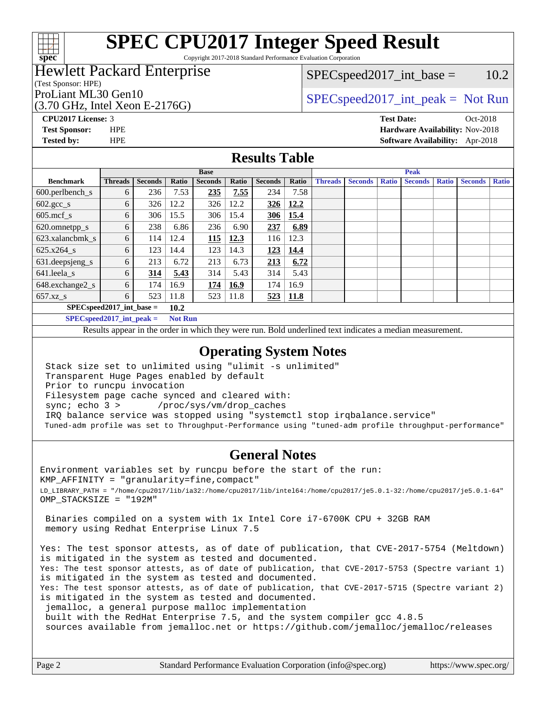

Copyright 2017-2018 Standard Performance Evaluation Corporation

## Hewlett Packard Enterprise

(Test Sponsor: HPE)

(3.70 GHz, Intel Xeon E-2176G)

 $SPEC speed2017\_int\_base = 10.2$ 

## ProLiant ML30 Gen10  $SPEC speed2017\_int\_peak = Not Run$

**[CPU2017 License:](http://www.spec.org/auto/cpu2017/Docs/result-fields.html#CPU2017License)** 3 **[Test Date:](http://www.spec.org/auto/cpu2017/Docs/result-fields.html#TestDate)** Oct-2018 **[Test Sponsor:](http://www.spec.org/auto/cpu2017/Docs/result-fields.html#TestSponsor)** HPE **[Hardware Availability:](http://www.spec.org/auto/cpu2017/Docs/result-fields.html#HardwareAvailability)** Nov-2018 **[Tested by:](http://www.spec.org/auto/cpu2017/Docs/result-fields.html#Testedby)** HPE **[Software Availability:](http://www.spec.org/auto/cpu2017/Docs/result-fields.html#SoftwareAvailability)** Apr-2018

#### **[Results Table](http://www.spec.org/auto/cpu2017/Docs/result-fields.html#ResultsTable)**

|                                    | <b>Base</b>    |                |              |                |              | <b>Peak</b>    |              |                |                |              |                |              |                |              |
|------------------------------------|----------------|----------------|--------------|----------------|--------------|----------------|--------------|----------------|----------------|--------------|----------------|--------------|----------------|--------------|
| <b>Benchmark</b>                   | <b>Threads</b> | <b>Seconds</b> | <b>Ratio</b> | <b>Seconds</b> | <b>Ratio</b> | <b>Seconds</b> | Ratio        | <b>Threads</b> | <b>Seconds</b> | <b>Ratio</b> | <b>Seconds</b> | <b>Ratio</b> | <b>Seconds</b> | <b>Ratio</b> |
| $600.$ perlbench $\mathsf{S}$      | 6              | 236            | 7.53         | 235            | 7.55         | 234            | 7.58         |                |                |              |                |              |                |              |
| $602.\text{gcc}\_\text{s}$         | 6              | 326            | 12.2         | 326            | 12.2         | 326            | 12.2         |                |                |              |                |              |                |              |
| $605$ .mcf s                       | 6              | 306            | 15.5         | 306            | 15.4         | 306            | 15.4         |                |                |              |                |              |                |              |
| 620.omnetpp_s                      | 6              | 238            | 6.86         | 236            | 6.90         | 237            | 6.89         |                |                |              |                |              |                |              |
| 623.xalancbmk s                    | 6              | 114            | 12.4         | 115            | 12.3         | 116            | 12.3         |                |                |              |                |              |                |              |
| 625.x264 s                         | 6              | 123            | 14.4         | 123            | 14.3         | 123            | 14.4         |                |                |              |                |              |                |              |
| 631.deepsjeng_s                    | 6              | 213            | 6.72         | 213            | 6.73         | 213            | 6.72         |                |                |              |                |              |                |              |
| 641.leela s                        | 6              | 314            | 5.43         | 314            | 5.43         | 314            | 5.43         |                |                |              |                |              |                |              |
| 648.exchange2_s                    | 6              | 174            | 16.9         | 174            | 16.9         | 174            | 16.9         |                |                |              |                |              |                |              |
| 657.xz s                           | 6              | 523            | 11.8         | 523            | 11.8         | 523            | $\vert$ 11.8 |                |                |              |                |              |                |              |
| $SPECspeed2017$ int base =<br>10.2 |                |                |              |                |              |                |              |                |                |              |                |              |                |              |

**[SPECspeed2017\\_int\\_peak =](http://www.spec.org/auto/cpu2017/Docs/result-fields.html#SPECspeed2017intpeak) Not Run**

Results appear in the [order in which they were run.](http://www.spec.org/auto/cpu2017/Docs/result-fields.html#RunOrder) Bold underlined text [indicates a median measurement.](http://www.spec.org/auto/cpu2017/Docs/result-fields.html#Median)

#### **[Operating System Notes](http://www.spec.org/auto/cpu2017/Docs/result-fields.html#OperatingSystemNotes)**

 Stack size set to unlimited using "ulimit -s unlimited" Transparent Huge Pages enabled by default Prior to runcpu invocation Filesystem page cache synced and cleared with: sync; echo 3 > /proc/sys/vm/drop\_caches IRQ balance service was stopped using "systemctl stop irqbalance.service" Tuned-adm profile was set to Throughput-Performance using "tuned-adm profile throughput-performance"

### **[General Notes](http://www.spec.org/auto/cpu2017/Docs/result-fields.html#GeneralNotes)**

Environment variables set by runcpu before the start of the run: KMP\_AFFINITY = "granularity=fine,compact" LD\_LIBRARY\_PATH = "/home/cpu2017/lib/ia32:/home/cpu2017/lib/intel64:/home/cpu2017/je5.0.1-32:/home/cpu2017/je5.0.1-64" OMP\_STACKSIZE = "192M"

 Binaries compiled on a system with 1x Intel Core i7-6700K CPU + 32GB RAM memory using Redhat Enterprise Linux 7.5

Yes: The test sponsor attests, as of date of publication, that CVE-2017-5754 (Meltdown) is mitigated in the system as tested and documented. Yes: The test sponsor attests, as of date of publication, that CVE-2017-5753 (Spectre variant 1) is mitigated in the system as tested and documented. Yes: The test sponsor attests, as of date of publication, that CVE-2017-5715 (Spectre variant 2) is mitigated in the system as tested and documented. jemalloc, a general purpose malloc implementation built with the RedHat Enterprise 7.5, and the system compiler gcc 4.8.5

sources available from jemalloc.net or <https://github.com/jemalloc/jemalloc/releases>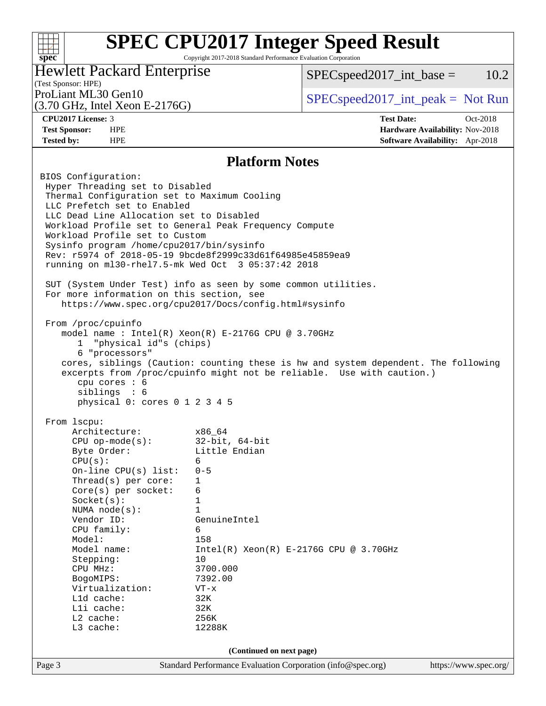Copyright 2017-2018 Standard Performance Evaluation Corporation

## Hewlett Packard Enterprise

 $SPEC speed2017\_int\_base = 10.2$ 

## (Test Sponsor: HPE)

(3.70 GHz, Intel Xeon E-2176G)

ProLiant ML30 Gen10  $SPECspeed2017\_int\_peak = Not Run$ 

**[spec](http://www.spec.org/)**

 $+\ +$ 

**[CPU2017 License:](http://www.spec.org/auto/cpu2017/Docs/result-fields.html#CPU2017License)** 3 **[Test Date:](http://www.spec.org/auto/cpu2017/Docs/result-fields.html#TestDate)** Oct-2018 **[Test Sponsor:](http://www.spec.org/auto/cpu2017/Docs/result-fields.html#TestSponsor)** HPE **[Hardware Availability:](http://www.spec.org/auto/cpu2017/Docs/result-fields.html#HardwareAvailability)** Nov-2018 **[Tested by:](http://www.spec.org/auto/cpu2017/Docs/result-fields.html#Testedby)** HPE **[Software Availability:](http://www.spec.org/auto/cpu2017/Docs/result-fields.html#SoftwareAvailability)** Apr-2018

#### **[Platform Notes](http://www.spec.org/auto/cpu2017/Docs/result-fields.html#PlatformNotes)**

Page 3 Standard Performance Evaluation Corporation [\(info@spec.org\)](mailto:info@spec.org) <https://www.spec.org/> BIOS Configuration: Hyper Threading set to Disabled Thermal Configuration set to Maximum Cooling LLC Prefetch set to Enabled LLC Dead Line Allocation set to Disabled Workload Profile set to General Peak Frequency Compute Workload Profile set to Custom Sysinfo program /home/cpu2017/bin/sysinfo Rev: r5974 of 2018-05-19 9bcde8f2999c33d61f64985e45859ea9 running on ml30-rhel7.5-mk Wed Oct 3 05:37:42 2018 SUT (System Under Test) info as seen by some common utilities. For more information on this section, see <https://www.spec.org/cpu2017/Docs/config.html#sysinfo> From /proc/cpuinfo model name : Intel(R) Xeon(R) E-2176G CPU @ 3.70GHz 1 "physical id"s (chips) 6 "processors" cores, siblings (Caution: counting these is hw and system dependent. The following excerpts from /proc/cpuinfo might not be reliable. Use with caution.) cpu cores : 6 siblings : 6 physical 0: cores 0 1 2 3 4 5 From lscpu: Architecture: x86\_64 CPU op-mode(s): 32-bit, 64-bit Byte Order: Little Endian  $CPU(s):$ <br>On-line CPU(s) list: 0-5 On-line  $CPU(s)$  list: Thread(s) per core: 1 Core(s) per socket: 6 Socket(s): 1 NUMA node(s): 1 Vendor ID: GenuineIntel CPU family: 6 Model: 158 Model name: Intel(R) Xeon(R) E-2176G CPU @ 3.70GHz Stepping: 10 CPU MHz: 3700.000 BogoMIPS: 7392.00 Virtualization: VT-x L1d cache: 32K<br>
L1i cache: 32K  $L1i$  cache: L2 cache: 256K L3 cache: 12288K **(Continued on next page)**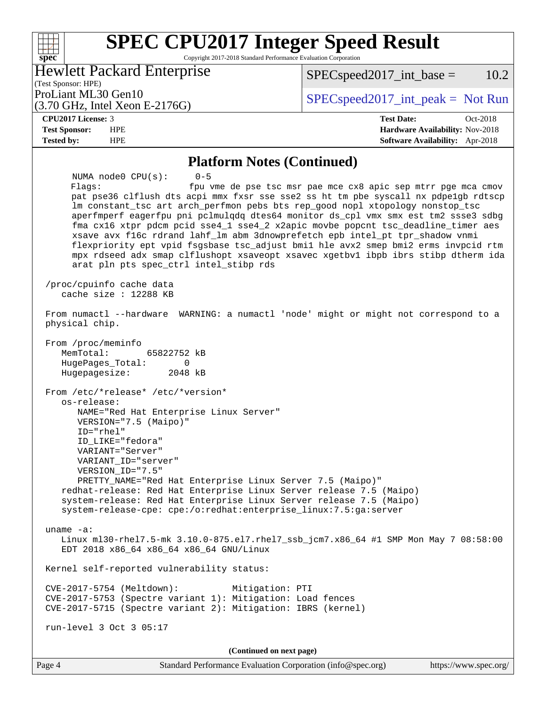Copyright 2017-2018 Standard Performance Evaluation Corporation

Hewlett Packard Enterprise

 $SPEC speed2017\_int\_base = 10.2$ 

(Test Sponsor: HPE) (3.70 GHz, Intel Xeon E-2176G)

ProLiant ML30 Gen10  $SPECspeed2017\_int\_peak = Not Run$ 

#### **[CPU2017 License:](http://www.spec.org/auto/cpu2017/Docs/result-fields.html#CPU2017License)** 3 **[Test Date:](http://www.spec.org/auto/cpu2017/Docs/result-fields.html#TestDate)** Oct-2018

**[spec](http://www.spec.org/)**

 $+\!\!+\!\!$ 

**[Test Sponsor:](http://www.spec.org/auto/cpu2017/Docs/result-fields.html#TestSponsor)** HPE **[Hardware Availability:](http://www.spec.org/auto/cpu2017/Docs/result-fields.html#HardwareAvailability)** Nov-2018 **[Tested by:](http://www.spec.org/auto/cpu2017/Docs/result-fields.html#Testedby)** HPE **[Software Availability:](http://www.spec.org/auto/cpu2017/Docs/result-fields.html#SoftwareAvailability)** Apr-2018

#### **[Platform Notes \(Continued\)](http://www.spec.org/auto/cpu2017/Docs/result-fields.html#PlatformNotes)**

 NUMA node0 CPU(s): 0-5 Flags: fpu vme de pse tsc msr pae mce cx8 apic sep mtrr pge mca cmov pat pse36 clflush dts acpi mmx fxsr sse sse2 ss ht tm pbe syscall nx pdpe1gb rdtscp lm constant\_tsc art arch\_perfmon pebs bts rep\_good nopl xtopology nonstop\_tsc aperfmperf eagerfpu pni pclmulqdq dtes64 monitor ds\_cpl vmx smx est tm2 ssse3 sdbg fma cx16 xtpr pdcm pcid sse4\_1 sse4\_2 x2apic movbe popcnt tsc\_deadline\_timer aes xsave avx f16c rdrand lahf\_lm abm 3dnowprefetch epb intel\_pt tpr\_shadow vnmi flexpriority ept vpid fsgsbase tsc\_adjust bmi1 hle avx2 smep bmi2 erms invpcid rtm mpx rdseed adx smap clflushopt xsaveopt xsavec xgetbv1 ibpb ibrs stibp dtherm ida arat pln pts spec\_ctrl intel\_stibp rds /proc/cpuinfo cache data cache size : 12288 KB From numactl --hardware WARNING: a numactl 'node' might or might not correspond to a physical chip. From /proc/meminfo MemTotal: 65822752 kB HugePages\_Total: 0 Hugepagesize: 2048 kB From /etc/\*release\* /etc/\*version\* os-release: NAME="Red Hat Enterprise Linux Server" VERSION="7.5 (Maipo)" ID="rhel" ID\_LIKE="fedora" VARIANT="Server" VARIANT\_ID="server" VERSION\_ID="7.5" PRETTY\_NAME="Red Hat Enterprise Linux Server 7.5 (Maipo)" redhat-release: Red Hat Enterprise Linux Server release 7.5 (Maipo) system-release: Red Hat Enterprise Linux Server release 7.5 (Maipo) system-release-cpe: cpe:/o:redhat:enterprise\_linux:7.5:ga:server uname -a: Linux ml30-rhel7.5-mk 3.10.0-875.el7.rhel7\_ssb\_jcm7.x86\_64 #1 SMP Mon May 7 08:58:00 EDT 2018 x86\_64 x86\_64 x86\_64 GNU/Linux Kernel self-reported vulnerability status: CVE-2017-5754 (Meltdown): Mitigation: PTI CVE-2017-5753 (Spectre variant 1): Mitigation: Load fences CVE-2017-5715 (Spectre variant 2): Mitigation: IBRS (kernel) run-level 3 Oct 3 05:17 **(Continued on next page)**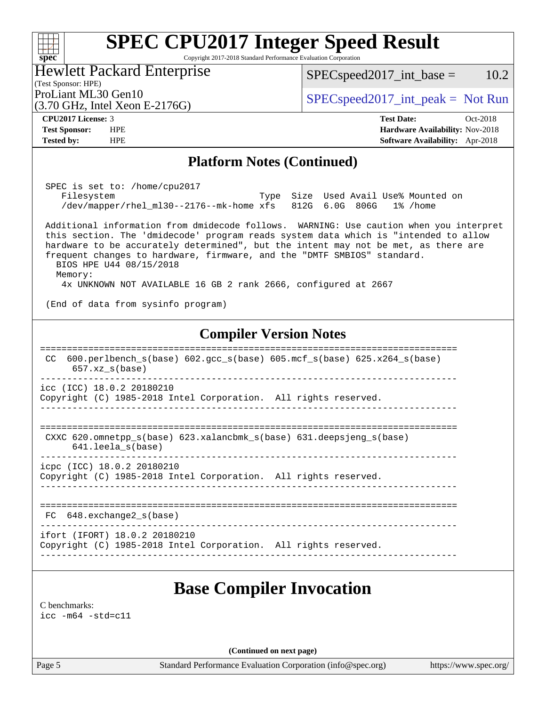Copyright 2017-2018 Standard Performance Evaluation Corporation

Hewlett Packard Enterprise

(3.70 GHz, Intel Xeon E-2176G)

 $SPEC speed2017\_int\_base = 10.2$ 

(Test Sponsor: HPE)

ProLiant ML30 Gen10  $SPECspeed2017\_int\_peak = Not Run$ 

**[spec](http://www.spec.org/)**

 $+\ +$ 

**[Tested by:](http://www.spec.org/auto/cpu2017/Docs/result-fields.html#Testedby)** HPE **[Software Availability:](http://www.spec.org/auto/cpu2017/Docs/result-fields.html#SoftwareAvailability)** Apr-2018

**[CPU2017 License:](http://www.spec.org/auto/cpu2017/Docs/result-fields.html#CPU2017License)** 3 **[Test Date:](http://www.spec.org/auto/cpu2017/Docs/result-fields.html#TestDate)** Oct-2018 **[Test Sponsor:](http://www.spec.org/auto/cpu2017/Docs/result-fields.html#TestSponsor)** HPE **[Hardware Availability:](http://www.spec.org/auto/cpu2017/Docs/result-fields.html#HardwareAvailability)** Nov-2018

#### **[Platform Notes \(Continued\)](http://www.spec.org/auto/cpu2017/Docs/result-fields.html#PlatformNotes)**

 SPEC is set to: /home/cpu2017 Filesystem Type Size Used Avail Use% Mounted on /dev/mapper/rhel\_ml30--2176--mk-home xfs 812G 6.0G 806G 1% /home

 Additional information from dmidecode follows. WARNING: Use caution when you interpret this section. The 'dmidecode' program reads system data which is "intended to allow hardware to be accurately determined", but the intent may not be met, as there are frequent changes to hardware, firmware, and the "DMTF SMBIOS" standard. BIOS HPE U44 08/15/2018 Memory: 4x UNKNOWN NOT AVAILABLE 16 GB 2 rank 2666, configured at 2667

(End of data from sysinfo program)

### **[Compiler Version Notes](http://www.spec.org/auto/cpu2017/Docs/result-fields.html#CompilerVersionNotes)**

============================================================================== CC 600.perlbench\_s(base) 602.gcc\_s(base) 605.mcf\_s(base) 625.x264\_s(base) 657.xz\_s(base) ----------------------------------------------------------------------------- icc (ICC) 18.0.2 20180210 Copyright (C) 1985-2018 Intel Corporation. All rights reserved. ------------------------------------------------------------------------------ ============================================================================== CXXC 620.omnetpp s(base) 623.xalancbmk s(base) 631.deepsjeng s(base) 641.leela\_s(base) ----------------------------------------------------------------------------- icpc (ICC) 18.0.2 20180210

Copyright (C) 1985-2018 Intel Corporation. All rights reserved.

------------------------------------------------------------------------------ ==============================================================================

------------------------------------------------------------------------------

 FC 648.exchange2\_s(base) ------------------------------------------------------------------------------

ifort (IFORT) 18.0.2 20180210

Copyright (C) 1985-2018 Intel Corporation. All rights reserved.

# **[Base Compiler Invocation](http://www.spec.org/auto/cpu2017/Docs/result-fields.html#BaseCompilerInvocation)**

[C benchmarks](http://www.spec.org/auto/cpu2017/Docs/result-fields.html#Cbenchmarks): [icc -m64 -std=c11](http://www.spec.org/cpu2017/results/res2018q4/cpu2017-20181015-09169.flags.html#user_CCbase_intel_icc_64bit_c11_33ee0cdaae7deeeab2a9725423ba97205ce30f63b9926c2519791662299b76a0318f32ddfffdc46587804de3178b4f9328c46fa7c2b0cd779d7a61945c91cd35)

**(Continued on next page)**

Page 5 Standard Performance Evaluation Corporation [\(info@spec.org\)](mailto:info@spec.org) <https://www.spec.org/>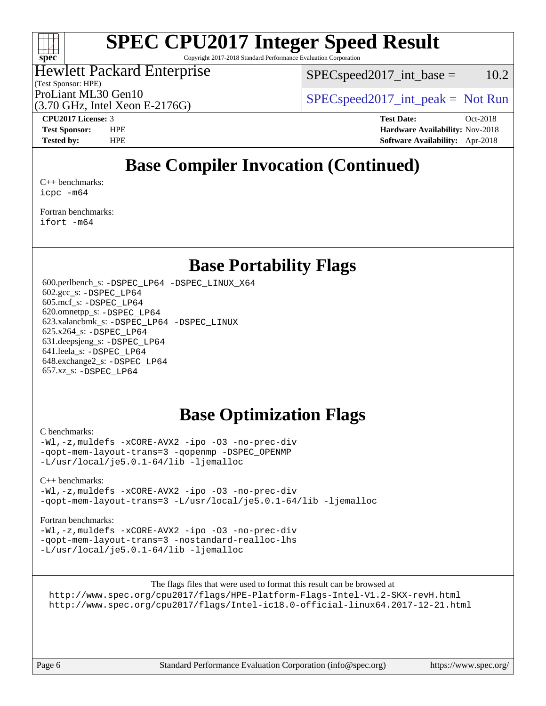

Copyright 2017-2018 Standard Performance Evaluation Corporation

## Hewlett Packard Enterprise

(Test Sponsor: HPE)

 $SPEC speed2017\_int\_base = 10.2$ 

ProLiant ML30 Gen10  $SPEC speed2017\_int\_peak = Not Run$ 

(3.70 GHz, Intel Xeon E-2176G)

**[CPU2017 License:](http://www.spec.org/auto/cpu2017/Docs/result-fields.html#CPU2017License)** 3 **[Test Date:](http://www.spec.org/auto/cpu2017/Docs/result-fields.html#TestDate)** Oct-2018 **[Test Sponsor:](http://www.spec.org/auto/cpu2017/Docs/result-fields.html#TestSponsor)** HPE **[Hardware Availability:](http://www.spec.org/auto/cpu2017/Docs/result-fields.html#HardwareAvailability)** Nov-2018 **[Tested by:](http://www.spec.org/auto/cpu2017/Docs/result-fields.html#Testedby)** HPE **[Software Availability:](http://www.spec.org/auto/cpu2017/Docs/result-fields.html#SoftwareAvailability)** Apr-2018

# **[Base Compiler Invocation \(Continued\)](http://www.spec.org/auto/cpu2017/Docs/result-fields.html#BaseCompilerInvocation)**

[C++ benchmarks:](http://www.spec.org/auto/cpu2017/Docs/result-fields.html#CXXbenchmarks) [icpc -m64](http://www.spec.org/cpu2017/results/res2018q4/cpu2017-20181015-09169.flags.html#user_CXXbase_intel_icpc_64bit_4ecb2543ae3f1412ef961e0650ca070fec7b7afdcd6ed48761b84423119d1bf6bdf5cad15b44d48e7256388bc77273b966e5eb805aefd121eb22e9299b2ec9d9)

[Fortran benchmarks](http://www.spec.org/auto/cpu2017/Docs/result-fields.html#Fortranbenchmarks): [ifort -m64](http://www.spec.org/cpu2017/results/res2018q4/cpu2017-20181015-09169.flags.html#user_FCbase_intel_ifort_64bit_24f2bb282fbaeffd6157abe4f878425411749daecae9a33200eee2bee2fe76f3b89351d69a8130dd5949958ce389cf37ff59a95e7a40d588e8d3a57e0c3fd751)

## **[Base Portability Flags](http://www.spec.org/auto/cpu2017/Docs/result-fields.html#BasePortabilityFlags)**

 600.perlbench\_s: [-DSPEC\\_LP64](http://www.spec.org/cpu2017/results/res2018q4/cpu2017-20181015-09169.flags.html#b600.perlbench_s_basePORTABILITY_DSPEC_LP64) [-DSPEC\\_LINUX\\_X64](http://www.spec.org/cpu2017/results/res2018q4/cpu2017-20181015-09169.flags.html#b600.perlbench_s_baseCPORTABILITY_DSPEC_LINUX_X64) 602.gcc\_s: [-DSPEC\\_LP64](http://www.spec.org/cpu2017/results/res2018q4/cpu2017-20181015-09169.flags.html#suite_basePORTABILITY602_gcc_s_DSPEC_LP64) 605.mcf\_s: [-DSPEC\\_LP64](http://www.spec.org/cpu2017/results/res2018q4/cpu2017-20181015-09169.flags.html#suite_basePORTABILITY605_mcf_s_DSPEC_LP64) 620.omnetpp\_s: [-DSPEC\\_LP64](http://www.spec.org/cpu2017/results/res2018q4/cpu2017-20181015-09169.flags.html#suite_basePORTABILITY620_omnetpp_s_DSPEC_LP64) 623.xalancbmk\_s: [-DSPEC\\_LP64](http://www.spec.org/cpu2017/results/res2018q4/cpu2017-20181015-09169.flags.html#suite_basePORTABILITY623_xalancbmk_s_DSPEC_LP64) [-DSPEC\\_LINUX](http://www.spec.org/cpu2017/results/res2018q4/cpu2017-20181015-09169.flags.html#b623.xalancbmk_s_baseCXXPORTABILITY_DSPEC_LINUX) 625.x264\_s: [-DSPEC\\_LP64](http://www.spec.org/cpu2017/results/res2018q4/cpu2017-20181015-09169.flags.html#suite_basePORTABILITY625_x264_s_DSPEC_LP64) 631.deepsjeng\_s: [-DSPEC\\_LP64](http://www.spec.org/cpu2017/results/res2018q4/cpu2017-20181015-09169.flags.html#suite_basePORTABILITY631_deepsjeng_s_DSPEC_LP64) 641.leela\_s: [-DSPEC\\_LP64](http://www.spec.org/cpu2017/results/res2018q4/cpu2017-20181015-09169.flags.html#suite_basePORTABILITY641_leela_s_DSPEC_LP64) 648.exchange2\_s: [-DSPEC\\_LP64](http://www.spec.org/cpu2017/results/res2018q4/cpu2017-20181015-09169.flags.html#suite_basePORTABILITY648_exchange2_s_DSPEC_LP64) 657.xz\_s: [-DSPEC\\_LP64](http://www.spec.org/cpu2017/results/res2018q4/cpu2017-20181015-09169.flags.html#suite_basePORTABILITY657_xz_s_DSPEC_LP64)

# **[Base Optimization Flags](http://www.spec.org/auto/cpu2017/Docs/result-fields.html#BaseOptimizationFlags)**

#### [C benchmarks](http://www.spec.org/auto/cpu2017/Docs/result-fields.html#Cbenchmarks):

[-Wl,-z,muldefs](http://www.spec.org/cpu2017/results/res2018q4/cpu2017-20181015-09169.flags.html#user_CCbase_link_force_multiple1_b4cbdb97b34bdee9ceefcfe54f4c8ea74255f0b02a4b23e853cdb0e18eb4525ac79b5a88067c842dd0ee6996c24547a27a4b99331201badda8798ef8a743f577) [-xCORE-AVX2](http://www.spec.org/cpu2017/results/res2018q4/cpu2017-20181015-09169.flags.html#user_CCbase_f-xCORE-AVX2) [-ipo](http://www.spec.org/cpu2017/results/res2018q4/cpu2017-20181015-09169.flags.html#user_CCbase_f-ipo) [-O3](http://www.spec.org/cpu2017/results/res2018q4/cpu2017-20181015-09169.flags.html#user_CCbase_f-O3) [-no-prec-div](http://www.spec.org/cpu2017/results/res2018q4/cpu2017-20181015-09169.flags.html#user_CCbase_f-no-prec-div) [-qopt-mem-layout-trans=3](http://www.spec.org/cpu2017/results/res2018q4/cpu2017-20181015-09169.flags.html#user_CCbase_f-qopt-mem-layout-trans_de80db37974c74b1f0e20d883f0b675c88c3b01e9d123adea9b28688d64333345fb62bc4a798493513fdb68f60282f9a726aa07f478b2f7113531aecce732043) [-qopenmp](http://www.spec.org/cpu2017/results/res2018q4/cpu2017-20181015-09169.flags.html#user_CCbase_qopenmp_16be0c44f24f464004c6784a7acb94aca937f053568ce72f94b139a11c7c168634a55f6653758ddd83bcf7b8463e8028bb0b48b77bcddc6b78d5d95bb1df2967) [-DSPEC\\_OPENMP](http://www.spec.org/cpu2017/results/res2018q4/cpu2017-20181015-09169.flags.html#suite_CCbase_DSPEC_OPENMP) [-L/usr/local/je5.0.1-64/lib](http://www.spec.org/cpu2017/results/res2018q4/cpu2017-20181015-09169.flags.html#user_CCbase_jemalloc_link_path64_4b10a636b7bce113509b17f3bd0d6226c5fb2346b9178c2d0232c14f04ab830f976640479e5c33dc2bcbbdad86ecfb6634cbbd4418746f06f368b512fced5394) [-ljemalloc](http://www.spec.org/cpu2017/results/res2018q4/cpu2017-20181015-09169.flags.html#user_CCbase_jemalloc_link_lib_d1249b907c500fa1c0672f44f562e3d0f79738ae9e3c4a9c376d49f265a04b9c99b167ecedbf6711b3085be911c67ff61f150a17b3472be731631ba4d0471706)

#### [C++ benchmarks:](http://www.spec.org/auto/cpu2017/Docs/result-fields.html#CXXbenchmarks)

[-Wl,-z,muldefs](http://www.spec.org/cpu2017/results/res2018q4/cpu2017-20181015-09169.flags.html#user_CXXbase_link_force_multiple1_b4cbdb97b34bdee9ceefcfe54f4c8ea74255f0b02a4b23e853cdb0e18eb4525ac79b5a88067c842dd0ee6996c24547a27a4b99331201badda8798ef8a743f577) [-xCORE-AVX2](http://www.spec.org/cpu2017/results/res2018q4/cpu2017-20181015-09169.flags.html#user_CXXbase_f-xCORE-AVX2) [-ipo](http://www.spec.org/cpu2017/results/res2018q4/cpu2017-20181015-09169.flags.html#user_CXXbase_f-ipo) [-O3](http://www.spec.org/cpu2017/results/res2018q4/cpu2017-20181015-09169.flags.html#user_CXXbase_f-O3) [-no-prec-div](http://www.spec.org/cpu2017/results/res2018q4/cpu2017-20181015-09169.flags.html#user_CXXbase_f-no-prec-div) [-qopt-mem-layout-trans=3](http://www.spec.org/cpu2017/results/res2018q4/cpu2017-20181015-09169.flags.html#user_CXXbase_f-qopt-mem-layout-trans_de80db37974c74b1f0e20d883f0b675c88c3b01e9d123adea9b28688d64333345fb62bc4a798493513fdb68f60282f9a726aa07f478b2f7113531aecce732043) [-L/usr/local/je5.0.1-64/lib](http://www.spec.org/cpu2017/results/res2018q4/cpu2017-20181015-09169.flags.html#user_CXXbase_jemalloc_link_path64_4b10a636b7bce113509b17f3bd0d6226c5fb2346b9178c2d0232c14f04ab830f976640479e5c33dc2bcbbdad86ecfb6634cbbd4418746f06f368b512fced5394) [-ljemalloc](http://www.spec.org/cpu2017/results/res2018q4/cpu2017-20181015-09169.flags.html#user_CXXbase_jemalloc_link_lib_d1249b907c500fa1c0672f44f562e3d0f79738ae9e3c4a9c376d49f265a04b9c99b167ecedbf6711b3085be911c67ff61f150a17b3472be731631ba4d0471706)

#### [Fortran benchmarks](http://www.spec.org/auto/cpu2017/Docs/result-fields.html#Fortranbenchmarks):

[-Wl,-z,muldefs](http://www.spec.org/cpu2017/results/res2018q4/cpu2017-20181015-09169.flags.html#user_FCbase_link_force_multiple1_b4cbdb97b34bdee9ceefcfe54f4c8ea74255f0b02a4b23e853cdb0e18eb4525ac79b5a88067c842dd0ee6996c24547a27a4b99331201badda8798ef8a743f577) [-xCORE-AVX2](http://www.spec.org/cpu2017/results/res2018q4/cpu2017-20181015-09169.flags.html#user_FCbase_f-xCORE-AVX2) [-ipo](http://www.spec.org/cpu2017/results/res2018q4/cpu2017-20181015-09169.flags.html#user_FCbase_f-ipo) [-O3](http://www.spec.org/cpu2017/results/res2018q4/cpu2017-20181015-09169.flags.html#user_FCbase_f-O3) [-no-prec-div](http://www.spec.org/cpu2017/results/res2018q4/cpu2017-20181015-09169.flags.html#user_FCbase_f-no-prec-div) [-qopt-mem-layout-trans=3](http://www.spec.org/cpu2017/results/res2018q4/cpu2017-20181015-09169.flags.html#user_FCbase_f-qopt-mem-layout-trans_de80db37974c74b1f0e20d883f0b675c88c3b01e9d123adea9b28688d64333345fb62bc4a798493513fdb68f60282f9a726aa07f478b2f7113531aecce732043) [-nostandard-realloc-lhs](http://www.spec.org/cpu2017/results/res2018q4/cpu2017-20181015-09169.flags.html#user_FCbase_f_2003_std_realloc_82b4557e90729c0f113870c07e44d33d6f5a304b4f63d4c15d2d0f1fab99f5daaed73bdb9275d9ae411527f28b936061aa8b9c8f2d63842963b95c9dd6426b8a) [-L/usr/local/je5.0.1-64/lib](http://www.spec.org/cpu2017/results/res2018q4/cpu2017-20181015-09169.flags.html#user_FCbase_jemalloc_link_path64_4b10a636b7bce113509b17f3bd0d6226c5fb2346b9178c2d0232c14f04ab830f976640479e5c33dc2bcbbdad86ecfb6634cbbd4418746f06f368b512fced5394) [-ljemalloc](http://www.spec.org/cpu2017/results/res2018q4/cpu2017-20181015-09169.flags.html#user_FCbase_jemalloc_link_lib_d1249b907c500fa1c0672f44f562e3d0f79738ae9e3c4a9c376d49f265a04b9c99b167ecedbf6711b3085be911c67ff61f150a17b3472be731631ba4d0471706)

The flags files that were used to format this result can be browsed at

<http://www.spec.org/cpu2017/flags/HPE-Platform-Flags-Intel-V1.2-SKX-revH.html> <http://www.spec.org/cpu2017/flags/Intel-ic18.0-official-linux64.2017-12-21.html>